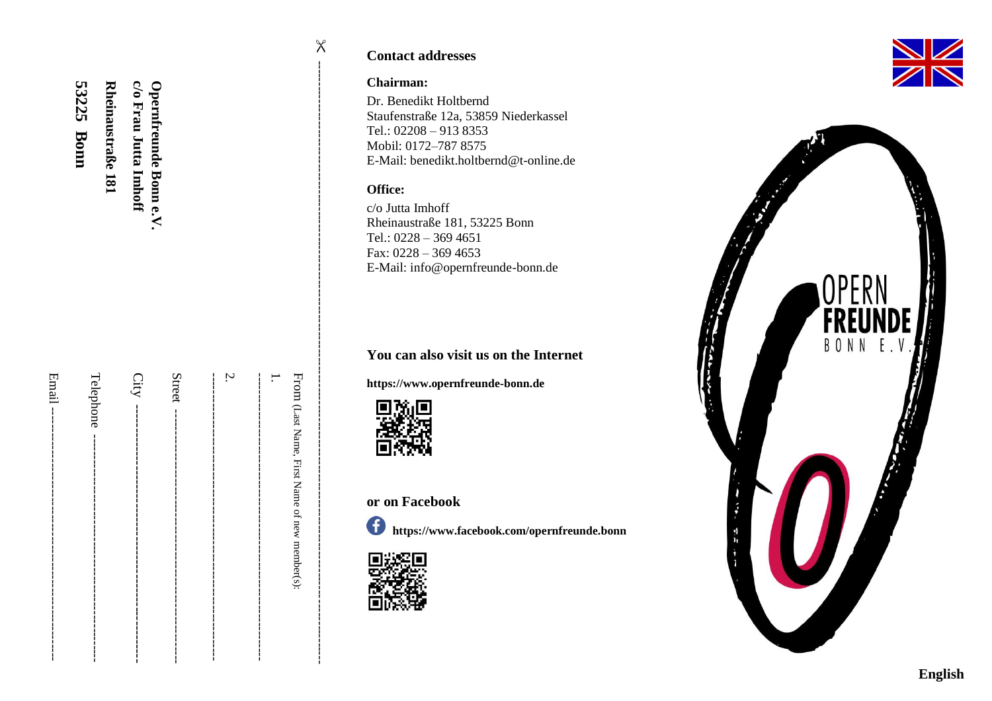| 53225 Bonn<br>Rheinaustraße 181 | c/o Frau Jutta Imhoff<br>Opernfreunde Bonn e.V. |   |                                                                       |
|---------------------------------|-------------------------------------------------|---|-----------------------------------------------------------------------|
| Telephone                       |                                                 | Ņ | From (Last Name, First Name of new member(s):<br> <br> <br> <br> <br> |

### **Contact addresses**

#### **Chairman:**

 $\mathsf X$ 

Dr. Benedikt Holtbernd Staufenstraße 12a, 53859 Niederkassel Tel.: 02208 – 913 8353 Mobil: 0172 –787 8575 E -Mail: benedikt.holtbernd@t -online.de

#### **Office :**

c/o Jutta Imhoff Rheinaustraße 181, 53225 Bonn Tel.: 0228 – 369 4651 Fax: 0228 – 369 4653 E -Mail: [info@opernfreunde](mailto:info@opernfreunde-bonn.de) -bonn.de

# **You can also visit us on the Internet**

**https:[//www.opernfreunde](http://www.opernfreunde-bonn.de/) -bonn.de**



# **or on Facebook**

**<https://www.facebook.com/opernfreunde.bonn>**